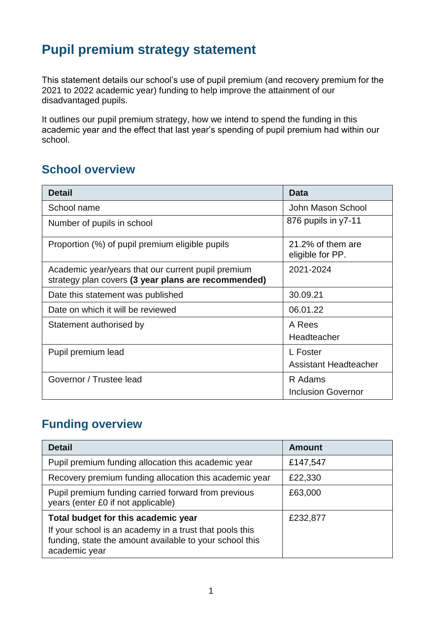# **Pupil premium strategy statement**

This statement details our school's use of pupil premium (and recovery premium for the 2021 to 2022 academic year) funding to help improve the attainment of our disadvantaged pupils.

It outlines our pupil premium strategy, how we intend to spend the funding in this academic year and the effect that last year's spending of pupil premium had within our school.

## **School overview**

| <b>Detail</b>                                                                                             | Data                                  |
|-----------------------------------------------------------------------------------------------------------|---------------------------------------|
| School name                                                                                               | John Mason School                     |
| Number of pupils in school                                                                                | 876 pupils in y7-11                   |
| Proportion (%) of pupil premium eligible pupils                                                           | 21.2% of them are<br>eligible for PP. |
| Academic year/years that our current pupil premium<br>strategy plan covers (3 year plans are recommended) | 2021-2024                             |
| Date this statement was published                                                                         | 30.09.21                              |
| Date on which it will be reviewed                                                                         | 06.01.22                              |
| Statement authorised by                                                                                   | A Rees                                |
|                                                                                                           | Headteacher                           |
| Pupil premium lead                                                                                        | L Foster                              |
|                                                                                                           | <b>Assistant Headteacher</b>          |
| Governor / Trustee lead                                                                                   | R Adams                               |
|                                                                                                           | <b>Inclusion Governor</b>             |

## **Funding overview**

| <b>Detail</b>                                                                                                                       | <b>Amount</b> |
|-------------------------------------------------------------------------------------------------------------------------------------|---------------|
| Pupil premium funding allocation this academic year                                                                                 | £147,547      |
| Recovery premium funding allocation this academic year                                                                              | £22,330       |
| Pupil premium funding carried forward from previous<br>years (enter £0 if not applicable)                                           | £63,000       |
| Total budget for this academic year                                                                                                 | £232,877      |
| If your school is an academy in a trust that pools this<br>funding, state the amount available to your school this<br>academic year |               |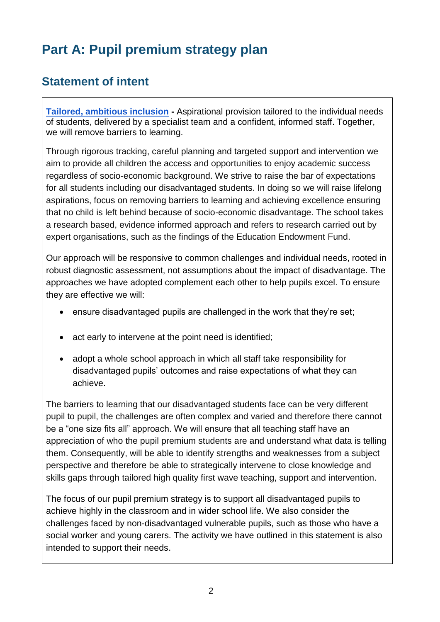# **Part A: Pupil premium strategy plan**

# **Statement of intent**

**[Tailored, ambitious inclusion](https://docs.google.com/document/d/17iqk-KrEyJUov5rlgILGlJS_f8Bfnh42DufSyMBosEU/edit#heading=h.agvrqxsr5o61) -** Aspirational provision tailored to the individual needs of students, delivered by a specialist team and a confident, informed staff. Together, we will remove barriers to learning.

Through rigorous tracking, careful planning and targeted support and intervention we aim to provide all children the access and opportunities to enjoy academic success regardless of socio-economic background. We strive to raise the bar of expectations for all students including our disadvantaged students. In doing so we will raise lifelong aspirations, focus on removing barriers to learning and achieving excellence ensuring that no child is left behind because of socio-economic disadvantage. The school takes a research based, evidence informed approach and refers to research carried out by expert organisations, such as the findings of the Education Endowment Fund.

Our approach will be responsive to common challenges and individual needs, rooted in robust diagnostic assessment, not assumptions about the impact of disadvantage. The approaches we have adopted complement each other to help pupils excel. To ensure they are effective we will:

- ensure disadvantaged pupils are challenged in the work that they're set;
- act early to intervene at the point need is identified;
- adopt a whole school approach in which all staff take responsibility for disadvantaged pupils' outcomes and raise expectations of what they can achieve.

The barriers to learning that our disadvantaged students face can be very different pupil to pupil, the challenges are often complex and varied and therefore there cannot be a "one size fits all" approach. We will ensure that all teaching staff have an appreciation of who the pupil premium students are and understand what data is telling them. Consequently, will be able to identify strengths and weaknesses from a subject perspective and therefore be able to strategically intervene to close knowledge and skills gaps through tailored high quality first wave teaching, support and intervention.

The focus of our pupil premium strategy is to support all disadvantaged pupils to achieve highly in the classroom and in wider school life. We also consider the challenges faced by non-disadvantaged vulnerable pupils, such as those who have a social worker and young carers. The activity we have outlined in this statement is also intended to support their needs.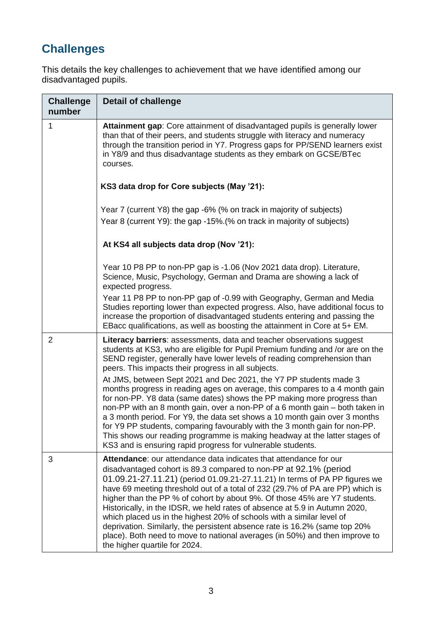# **Challenges**

This details the key challenges to achievement that we have identified among our disadvantaged pupils.

| <b>Challenge</b><br>number | <b>Detail of challenge</b>                                                                                                                                                                                                                                                                                                                                                                                                                                                                                                                                                                                                                                                                                                             |
|----------------------------|----------------------------------------------------------------------------------------------------------------------------------------------------------------------------------------------------------------------------------------------------------------------------------------------------------------------------------------------------------------------------------------------------------------------------------------------------------------------------------------------------------------------------------------------------------------------------------------------------------------------------------------------------------------------------------------------------------------------------------------|
| 1                          | Attainment gap: Core attainment of disadvantaged pupils is generally lower<br>than that of their peers, and students struggle with literacy and numeracy<br>through the transition period in Y7. Progress gaps for PP/SEND learners exist<br>in Y8/9 and thus disadvantage students as they embark on GCSE/BTec<br>courses.                                                                                                                                                                                                                                                                                                                                                                                                            |
|                            | KS3 data drop for Core subjects (May '21):                                                                                                                                                                                                                                                                                                                                                                                                                                                                                                                                                                                                                                                                                             |
|                            | Year 7 (current Y8) the gap -6% (% on track in majority of subjects)<br>Year 8 (current Y9): the gap -15%. (% on track in majority of subjects)                                                                                                                                                                                                                                                                                                                                                                                                                                                                                                                                                                                        |
|                            | At KS4 all subjects data drop (Nov '21):                                                                                                                                                                                                                                                                                                                                                                                                                                                                                                                                                                                                                                                                                               |
|                            | Year 10 P8 PP to non-PP gap is -1.06 (Nov 2021 data drop). Literature,<br>Science, Music, Psychology, German and Drama are showing a lack of<br>expected progress.                                                                                                                                                                                                                                                                                                                                                                                                                                                                                                                                                                     |
|                            | Year 11 P8 PP to non-PP gap of -0.99 with Geography, German and Media<br>Studies reporting lower than expected progress. Also, have additional focus to<br>increase the proportion of disadvantaged students entering and passing the<br>EBacc qualifications, as well as boosting the attainment in Core at 5+ EM.                                                                                                                                                                                                                                                                                                                                                                                                                    |
| $\overline{2}$             | <b>Literacy barriers:</b> assessments, data and teacher observations suggest<br>students at KS3, who are eligible for Pupil Premium funding and /or are on the<br>SEND register, generally have lower levels of reading comprehension than<br>peers. This impacts their progress in all subjects.                                                                                                                                                                                                                                                                                                                                                                                                                                      |
|                            | At JMS, between Sept 2021 and Dec 2021, the Y7 PP students made 3<br>months progress in reading ages on average, this compares to a 4 month gain<br>for non-PP. Y8 data (same dates) shows the PP making more progress than<br>non-PP with an 8 month gain, over a non-PP of a 6 month gain – both taken in<br>a 3 month period. For Y9, the data set shows a 10 month gain over 3 months<br>for Y9 PP students, comparing favourably with the 3 month gain for non-PP.<br>This shows our reading programme is making headway at the latter stages of<br>KS3 and is ensuring rapid progress for vulnerable students.                                                                                                                   |
| 3                          | Attendance: our attendance data indicates that attendance for our<br>disadvantaged cohort is 89.3 compared to non-PP at 92.1% (period<br>01.09.21-27.11.21) (period 01.09.21-27.11.21) In terms of PA PP figures we<br>have 69 meeting threshold out of a total of 232 (29.7% of PA are PP) which is<br>higher than the PP % of cohort by about 9%. Of those 45% are Y7 students.<br>Historically, in the IDSR, we held rates of absence at 5.9 in Autumn 2020,<br>which placed us in the highest 20% of schools with a similar level of<br>deprivation. Similarly, the persistent absence rate is 16.2% (same top 20%<br>place). Both need to move to national averages (in 50%) and then improve to<br>the higher quartile for 2024. |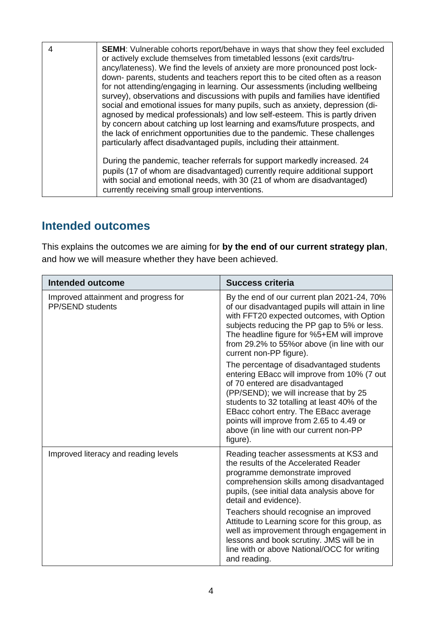4 **SEMH**: Vulnerable cohorts report/behave in ways that show they feel excluded or actively exclude themselves from timetabled lessons (exit cards/truancy/lateness). We find the levels of anxiety are more pronounced post lockdown- parents, students and teachers report this to be cited often as a reason for not attending/engaging in learning. Our assessments (including wellbeing survey), observations and discussions with pupils and families have identified social and emotional issues for many pupils, such as anxiety, depression (diagnosed by medical professionals) and low self-esteem. This is partly driven by concern about catching up lost learning and exams/future prospects, and the lack of enrichment opportunities due to the pandemic. These challenges particularly affect disadvantaged pupils, including their attainment. During the pandemic, teacher referrals for support markedly increased. 24 pupils (17 of whom are disadvantaged) currently require additional support with social and emotional needs, with 30 (21 of whom are disadvantaged) currently receiving small group interventions.

#### **Intended outcomes**

This explains the outcomes we are aiming for **by the end of our current strategy plan**, and how we will measure whether they have been achieved.

| <b>Intended outcome</b>                                         | <b>Success criteria</b>                                                                                                                                                                                                                                                                                                                                         |
|-----------------------------------------------------------------|-----------------------------------------------------------------------------------------------------------------------------------------------------------------------------------------------------------------------------------------------------------------------------------------------------------------------------------------------------------------|
| Improved attainment and progress for<br><b>PP/SEND students</b> | By the end of our current plan 2021-24, 70%<br>of our disadvantaged pupils will attain in line<br>with FFT20 expected outcomes, with Option<br>subjects reducing the PP gap to 5% or less.<br>The headline figure for %5+EM will improve<br>from 29.2% to 55% or above (in line with our<br>current non-PP figure).                                             |
|                                                                 | The percentage of disadvantaged students<br>entering EBacc will improve from 10% (7 out<br>of 70 entered are disadvantaged<br>(PP/SEND); we will increase that by 25<br>students to 32 totalling at least 40% of the<br>EBacc cohort entry. The EBacc average<br>points will improve from 2.65 to 4.49 or<br>above (in line with our current non-PP<br>figure). |
| Improved literacy and reading levels                            | Reading teacher assessments at KS3 and<br>the results of the Accelerated Reader<br>programme demonstrate improved<br>comprehension skills among disadvantaged<br>pupils, (see initial data analysis above for<br>detail and evidence).                                                                                                                          |
|                                                                 | Teachers should recognise an improved<br>Attitude to Learning score for this group, as<br>well as improvement through engagement in<br>lessons and book scrutiny. JMS will be in<br>line with or above National/OCC for writing<br>and reading.                                                                                                                 |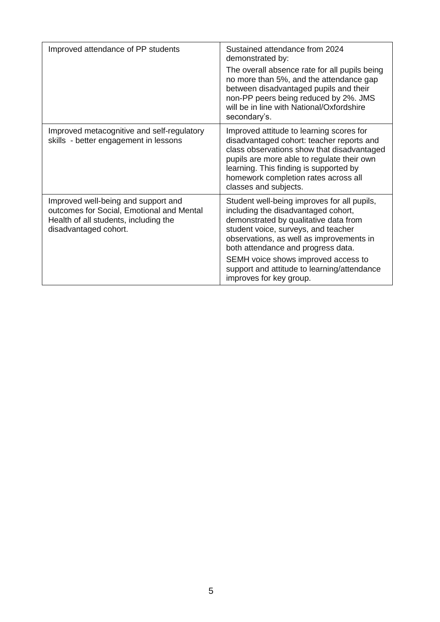| Improved attendance of PP students                                                                                                                 | Sustained attendance from 2024<br>demonstrated by:<br>The overall absence rate for all pupils being<br>no more than 5%, and the attendance gap<br>between disadvantaged pupils and their<br>non-PP peers being reduced by 2%. JMS<br>will be in line with National/Oxfordshire<br>secondary's.                                                                        |
|----------------------------------------------------------------------------------------------------------------------------------------------------|-----------------------------------------------------------------------------------------------------------------------------------------------------------------------------------------------------------------------------------------------------------------------------------------------------------------------------------------------------------------------|
| Improved metacognitive and self-regulatory<br>skills - better engagement in lessons                                                                | Improved attitude to learning scores for<br>disadvantaged cohort: teacher reports and<br>class observations show that disadvantaged<br>pupils are more able to regulate their own<br>learning. This finding is supported by<br>homework completion rates across all<br>classes and subjects.                                                                          |
| Improved well-being and support and<br>outcomes for Social, Emotional and Mental<br>Health of all students, including the<br>disadvantaged cohort. | Student well-being improves for all pupils,<br>including the disadvantaged cohort,<br>demonstrated by qualitative data from<br>student voice, surveys, and teacher<br>observations, as well as improvements in<br>both attendance and progress data.<br>SEMH voice shows improved access to<br>support and attitude to learning/attendance<br>improves for key group. |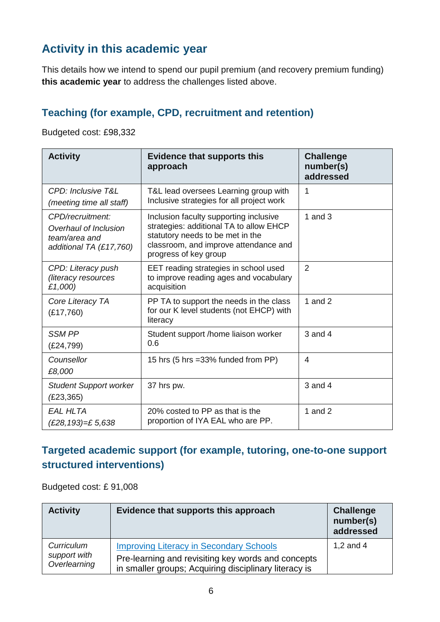# **Activity in this academic year**

This details how we intend to spend our pupil premium (and recovery premium funding) **this academic year** to address the challenges listed above.

#### **Teaching (for example, CPD, recruitment and retention)**

Budgeted cost: £98,332

| <b>Activity</b>                                                                       | <b>Evidence that supports this</b><br>approach                                                                                                                                          | <b>Challenge</b><br>number(s)<br>addressed |
|---------------------------------------------------------------------------------------|-----------------------------------------------------------------------------------------------------------------------------------------------------------------------------------------|--------------------------------------------|
| CPD: Inclusive T&L<br>(meeting time all staff)                                        | T&L lead oversees Learning group with<br>Inclusive strategies for all project work                                                                                                      | 1                                          |
| CPD/recruitment:<br>Overhaul of Inclusion<br>team/area and<br>additional TA (£17,760) | Inclusion faculty supporting inclusive<br>strategies: additional TA to allow EHCP<br>statutory needs to be met in the<br>classroom, and improve attendance and<br>progress of key group | 1 and $3$                                  |
| CPD: Literacy push<br>(literacy resources<br>£1,000)                                  | EET reading strategies in school used<br>to improve reading ages and vocabulary<br>acquisition                                                                                          | 2                                          |
| Core Literacy TA<br>(E17,760)                                                         | PP TA to support the needs in the class<br>for our K level students (not EHCP) with<br>literacy                                                                                         | 1 and $2$                                  |
| <b>SSM PP</b><br>(E24,799)                                                            | Student support /home liaison worker<br>0.6                                                                                                                                             | $3$ and $4$                                |
| Counsellor<br>£8,000                                                                  | 15 hrs (5 hrs = 33% funded from PP)                                                                                                                                                     | $\overline{\mathcal{A}}$                   |
| <b>Student Support worker</b><br>(E23, 365)                                           | 37 hrs pw.                                                                                                                                                                              | $3$ and $4$                                |
| <b>EAL HLTA</b><br>(£28,193)=£ 5,638                                                  | 20% costed to PP as that is the<br>proportion of IYA EAL who are PP.                                                                                                                    | 1 and $2$                                  |

#### **Targeted academic support (for example, tutoring, one-to-one support structured interventions)**

Budgeted cost: £ 91,008

| <b>Activity</b>              | Evidence that supports this approach                                                                        | <b>Challenge</b><br>number(s)<br>addressed |
|------------------------------|-------------------------------------------------------------------------------------------------------------|--------------------------------------------|
| Curriculum                   | <b>Improving Literacy in Secondary Schools</b>                                                              | 1,2 and $4$                                |
| support with<br>Overlearning | Pre-learning and revisiting key words and concepts<br>in smaller groups; Acquiring disciplinary literacy is |                                            |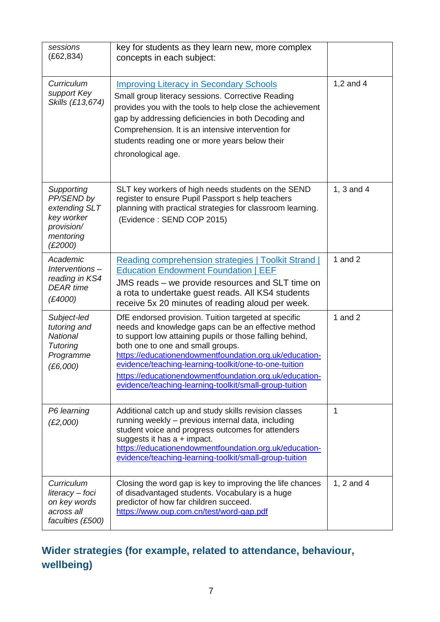| sessions<br>(E62, 834)                                                                        | key for students as they learn new, more complex<br>concepts in each subject:                                                                                                                                                                                                                                                                                                                                                                       |            |
|-----------------------------------------------------------------------------------------------|-----------------------------------------------------------------------------------------------------------------------------------------------------------------------------------------------------------------------------------------------------------------------------------------------------------------------------------------------------------------------------------------------------------------------------------------------------|------------|
| Curriculum<br>support Key<br>Skills (£13,674)                                                 | <b>Improving Literacy in Secondary Schools</b><br>Small group literacy sessions. Corrective Reading<br>provides you with the tools to help close the achievement<br>gap by addressing deficiencies in both Decoding and<br>Comprehension. It is an intensive intervention for<br>students reading one or more years below their<br>chronological age.                                                                                               | 1,2 and 4  |
| Supporting<br>PP/SEND by<br>extending SLT<br>key worker<br>provision/<br>mentoring<br>(E2000) | SLT key workers of high needs students on the SEND<br>register to ensure Pupil Passport s help teachers<br>planning with practical strategies for classroom learning.<br>(Evidence: SEND COP 2015)                                                                                                                                                                                                                                                  | 1, 3 and 4 |
| Academic<br>Interventions-<br>reading in KS4<br><b>DEAR</b> time<br>(E4000)                   | Reading comprehension strategies   Toolkit Strand  <br><b>Education Endowment Foundation   EEF</b><br>JMS reads – we provide resources and SLT time on<br>a rota to undertake guest reads. All KS4 students<br>receive 5x 20 minutes of reading aloud per week.                                                                                                                                                                                     | 1 and $2$  |
| Subject-led<br>tutoring and<br><b>National</b><br><b>Tutoring</b><br>Programme<br>(E6,000)    | DfE endorsed provision. Tuition targeted at specific<br>needs and knowledge gaps can be an effective method<br>to support low attaining pupils or those falling behind,<br>both one to one and small groups.<br>https://educationendowmentfoundation.org.uk/education-<br>evidence/teaching-learning-toolkit/one-to-one-tuition<br>https://educationendowmentfoundation.org.uk/education-<br>evidence/teaching-learning-toolkit/small-group-tuition | 1 and $2$  |
| P6 learning<br>(E2,000)                                                                       | Additional catch up and study skills revision classes<br>running weekly – previous internal data, including<br>student voice and progress outcomes for attenders<br>suggests it has $a + \text{impact}$ .<br>https://educationendowmentfoundation.org.uk/education-<br>evidence/teaching-learning-toolkit/small-group-tuition                                                                                                                       | 1          |
| Curriculum<br>literacy - foci<br>on key words<br>across all<br>faculties (£500)               | Closing the word gap is key to improving the life chances<br>of disadvantaged students. Vocabulary is a huge<br>predictor of how far children succeed.<br>https://www.oup.com.cn/test/word-gap.pdf                                                                                                                                                                                                                                                  | 1, 2 and 4 |

# **Wider strategies (for example, related to attendance, behaviour, wellbeing)**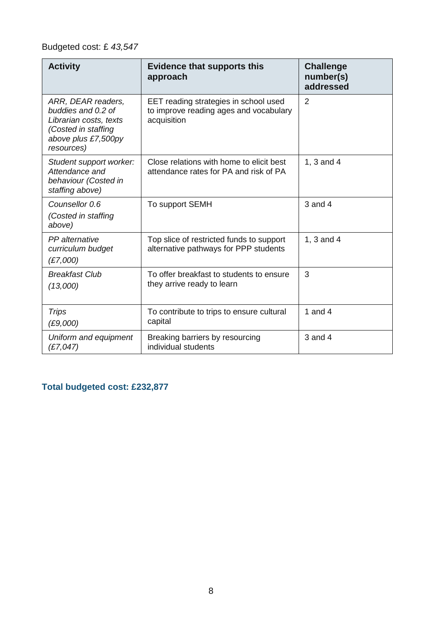### Budgeted cost: £ *43,547*

| <b>Activity</b>                                                                                                                | <b>Evidence that supports this</b><br>approach                                                 | <b>Challenge</b><br>number(s)<br>addressed |
|--------------------------------------------------------------------------------------------------------------------------------|------------------------------------------------------------------------------------------------|--------------------------------------------|
| ARR, DEAR readers,<br>buddies and 0.2 of<br>Librarian costs, texts<br>(Costed in staffing<br>above plus £7,500py<br>resources) | EET reading strategies in school used<br>to improve reading ages and vocabulary<br>acquisition | $\overline{2}$                             |
| Student support worker:<br>Attendance and<br>behaviour (Costed in<br>staffing above)                                           | Close relations with home to elicit best<br>attendance rates for PA and risk of PA             | 1, 3 and 4                                 |
| Counsellor 0.6<br>(Costed in staffing<br>above)                                                                                | To support SEMH                                                                                | $3$ and $4$                                |
| PP alternative<br>curriculum budget<br>(E7,000)                                                                                | Top slice of restricted funds to support<br>alternative pathways for PPP students              | 1, 3 and 4                                 |
| <b>Breakfast Club</b><br>(13,000)                                                                                              | To offer breakfast to students to ensure<br>they arrive ready to learn                         | 3                                          |
| <b>Trips</b><br>(E9,000)                                                                                                       | To contribute to trips to ensure cultural<br>capital                                           | 1 and 4                                    |
| Uniform and equipment<br>(E7, 047)                                                                                             | Breaking barriers by resourcing<br>individual students                                         | $3$ and $4$                                |

**Total budgeted cost: £232,877**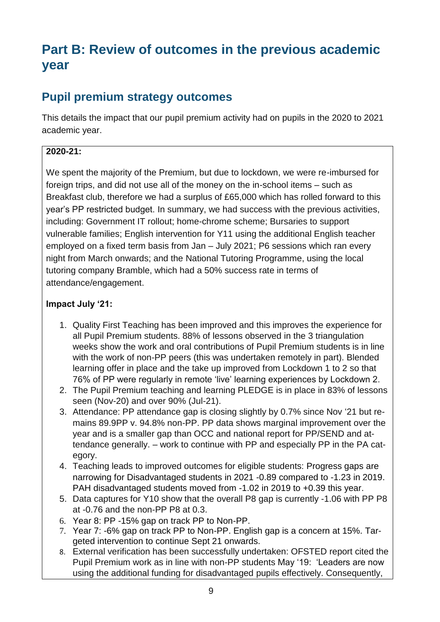# **Part B: Review of outcomes in the previous academic year**

# **Pupil premium strategy outcomes**

This details the impact that our pupil premium activity had on pupils in the 2020 to 2021 academic year.

#### **2020-21:**

We spent the majority of the Premium, but due to lockdown, we were re-imbursed for foreign trips, and did not use all of the money on the in-school items – such as Breakfast club, therefore we had a surplus of £65,000 which has rolled forward to this year's PP restricted budget. In summary, we had success with the previous activities, including: Government IT rollout; home-chrome scheme; Bursaries to support vulnerable families; English intervention for Y11 using the additional English teacher employed on a fixed term basis from Jan – July 2021; P6 sessions which ran every night from March onwards; and the National Tutoring Programme, using the local tutoring company Bramble, which had a 50% success rate in terms of attendance/engagement.

#### **Impact July '21:**

- 1. Quality First Teaching has been improved and this improves the experience for all Pupil Premium students. 88% of lessons observed in the 3 triangulation weeks show the work and oral contributions of Pupil Premium students is in line with the work of non-PP peers (this was undertaken remotely in part). Blended learning offer in place and the take up improved from Lockdown 1 to 2 so that 76% of PP were regularly in remote 'live' learning experiences by Lockdown 2.
- 2. The Pupil Premium teaching and learning PLEDGE is in place in 83% of lessons seen (Nov-20) and over 90% (Jul-21).
- 3. Attendance: PP attendance gap is closing slightly by 0.7% since Nov '21 but remains 89.9PP v. 94.8% non-PP. PP data shows marginal improvement over the year and is a smaller gap than OCC and national report for PP/SEND and attendance generally. – work to continue with PP and especially PP in the PA category.
- 4. Teaching leads to improved outcomes for eligible students: Progress gaps are narrowing for Disadvantaged students in 2021 -0.89 compared to -1.23 in 2019. PAH disadvantaged students moved from -1.02 in 2019 to +0.39 this year.
- 5. Data captures for Y10 show that the overall P8 gap is currently -1.06 with PP P8 at -0.76 and the non-PP P8 at 0.3.
- 6. Year 8: PP -15% gap on track PP to Non-PP.
- 7. Year 7: -6% gap on track PP to Non-PP. English gap is a concern at 15%. Targeted intervention to continue Sept 21 onwards.
- 8. External verification has been successfully undertaken: OFSTED report cited the Pupil Premium work as in line with non-PP students May '19: 'Leaders are now using the additional funding for disadvantaged pupils effectively. Consequently,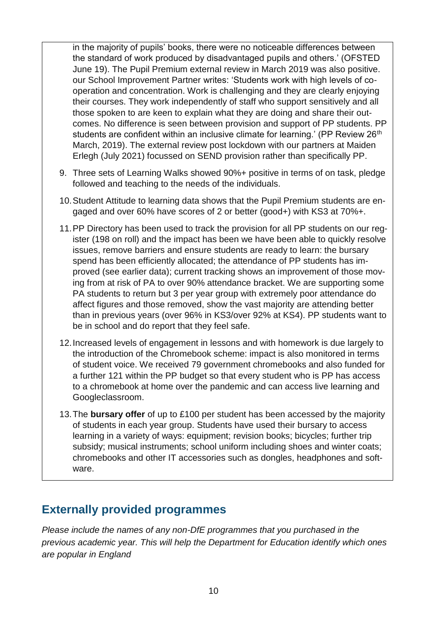in the majority of pupils' books, there were no noticeable differences between the standard of work produced by disadvantaged pupils and others.' (OFSTED June 19). The Pupil Premium external review in March 2019 was also positive. our School Improvement Partner writes: 'Students work with high levels of cooperation and concentration. Work is challenging and they are clearly enjoying their courses. They work independently of staff who support sensitively and all those spoken to are keen to explain what they are doing and share their outcomes. No difference is seen between provision and support of PP students. PP students are confident within an inclusive climate for learning.' (PP Review 26<sup>th</sup>) March, 2019). The external review post lockdown with our partners at Maiden Erlegh (July 2021) focussed on SEND provision rather than specifically PP.

- 9. Three sets of Learning Walks showed 90%+ positive in terms of on task, pledge followed and teaching to the needs of the individuals.
- 10.Student Attitude to learning data shows that the Pupil Premium students are engaged and over 60% have scores of 2 or better (good+) with KS3 at 70%+.
- 11.PP Directory has been used to track the provision for all PP students on our register (198 on roll) and the impact has been we have been able to quickly resolve issues, remove barriers and ensure students are ready to learn: the bursary spend has been efficiently allocated; the attendance of PP students has improved (see earlier data); current tracking shows an improvement of those moving from at risk of PA to over 90% attendance bracket. We are supporting some PA students to return but 3 per year group with extremely poor attendance do affect figures and those removed, show the vast majority are attending better than in previous years (over 96% in KS3/over 92% at KS4). PP students want to be in school and do report that they feel safe.
- 12.Increased levels of engagement in lessons and with homework is due largely to the introduction of the Chromebook scheme: impact is also monitored in terms of student voice. We received 79 government chromebooks and also funded for a further 121 within the PP budget so that every student who is PP has access to a chromebook at home over the pandemic and can access live learning and Googleclassroom.
- 13.The **bursary offer** of up to £100 per student has been accessed by the majority of students in each year group. Students have used their bursary to access learning in a variety of ways: equipment; revision books; bicycles; further trip subsidy; musical instruments; school uniform including shoes and winter coats; chromebooks and other IT accessories such as dongles, headphones and software.

### **Externally provided programmes**

*Please include the names of any non-DfE programmes that you purchased in the previous academic year. This will help the Department for Education identify which ones are popular in England*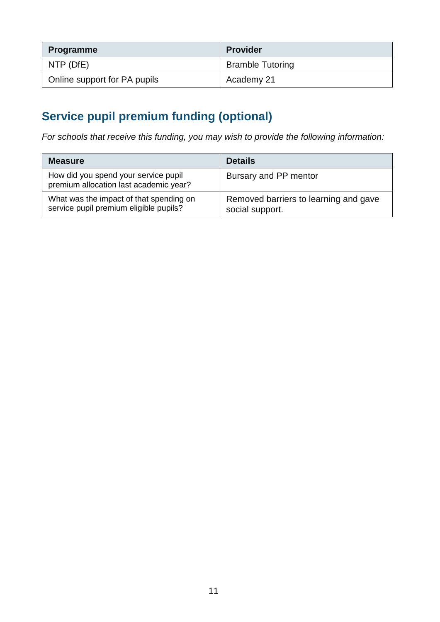| <b>Programme</b>             | <b>Provider</b>         |
|------------------------------|-------------------------|
| NTP (DfE)                    | <b>Bramble Tutoring</b> |
| Online support for PA pupils | Academy 21              |

# **Service pupil premium funding (optional)**

*For schools that receive this funding, you may wish to provide the following information:* 

| <b>Measure</b>                                                                    | <b>Details</b>                                           |
|-----------------------------------------------------------------------------------|----------------------------------------------------------|
| How did you spend your service pupil<br>premium allocation last academic year?    | Bursary and PP mentor                                    |
| What was the impact of that spending on<br>service pupil premium eligible pupils? | Removed barriers to learning and gave<br>social support. |